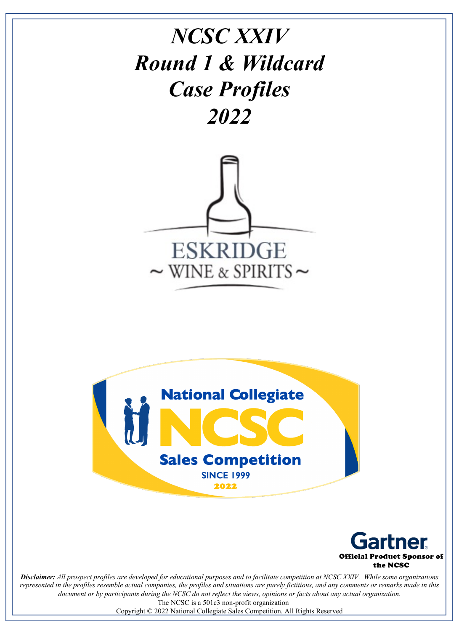# *NCSC XXIV Round 1 & Wildcard Case Profiles 2022*







*Disclaimer: All prospect profiles are developed for educational purposes and to facilitate competition at NCSC XXIV. While some organizations represented in the profiles resemble actual companies, the profiles and situations are purely fictitious, and any comments or remarks made in this document or by participants during the NCSC do not reflect the views, opinions or facts about any actual organization.* The NCSC is a 501c3 non-profit organization

Copyright © 2022 National Collegiate Sales Competition. All Rights Reserved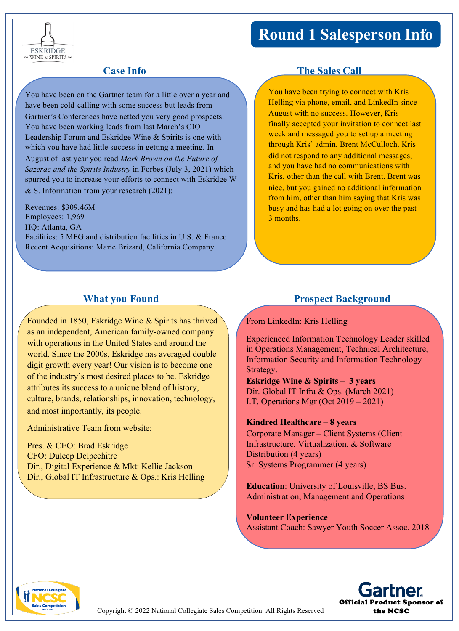## **Round 1 Salesperson Info**



You have been on the Gartner team for a little over a year and have been cold-calling with some success but leads from Gartner's Conferences have netted you very good prospects. You have been working leads from last March's CIO Leadership Forum and Eskridge Wine & Spirits is one with which you have had little success in getting a meeting. In August of last year you read *Mark Brown on the Future of Sazerac and the Spirits Industry* in Forbes (July 3, 2021) which spurred you to increase your efforts to connect with Eskridge W & S. Information from your research (2021):

Revenues: \$309.46M Employees: 1,969 HQ: Atlanta, GA Facilities: 5 MFG and distribution facilities in U.S. & France Recent Acquisitions: Marie Brizard, California Company

#### **What you Found**

Founded in 1850, Eskridge Wine & Spirits has thrived as an independent, American family-owned company with operations in the United States and around the world. Since the 2000s, Eskridge has averaged double digit growth every year! Our vision is to become one of the industry's most desired places to be. Eskridge attributes its success to a unique blend of history, culture, brands, relationships, innovation, technology, and most importantly, its people.

Administrative Team from website:

Pres. & CEO: Brad Eskridge CFO: Duleep Delpechitre Dir., Digital Experience & Mkt: Kellie Jackson Dir., Global IT Infrastructure & Ops.: Kris Helling

### **Case Info The Sales Call**

You have been trying to connect with Kris Helling via phone, email, and LinkedIn since August with no success. However, Kris finally accepted your invitation to connect last week and messaged you to set up a meeting through Kris' admin, Brent McCulloch. Kris did not respond to any additional messages, and you have had no communications with Kris, other than the call with Brent. Brent was nice, but you gained no additional information from him, other than him saying that Kris was busy and has had a lot going on over the past 3 months.

#### **Prospect Background**

#### From LinkedIn: Kris Helling

Experienced Information Technology Leader skilled in Operations Management, Technical Architecture, Information Security and Information Technology Strategy.

**Eskridge Wine & Spirits – 3 years** Dir. Global IT Infra & Ops. (March 2021) I.T. Operations Mgr (Oct 2019 – 2021)

#### **Kindred Healthcare – 8 years**

Corporate Manager – Client Systems (Client Infrastructure, Virtualization, & Software Distribution (4 years) Sr. Systems Programmer (4 years)

**Education**: University of Louisville, BS Bus. Administration, Management and Operations

**Volunteer Experience** Assistant Coach: Sawyer Youth Soccer Assoc. 2018